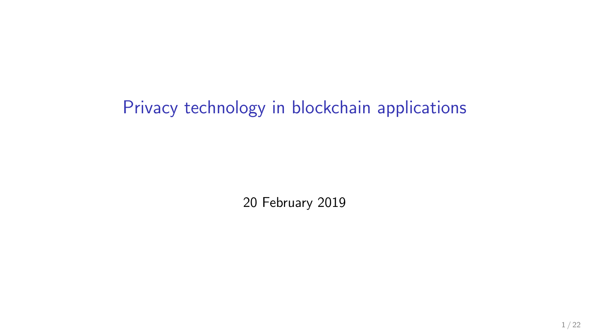# Privacy technology in blockchain applications

20 February 2019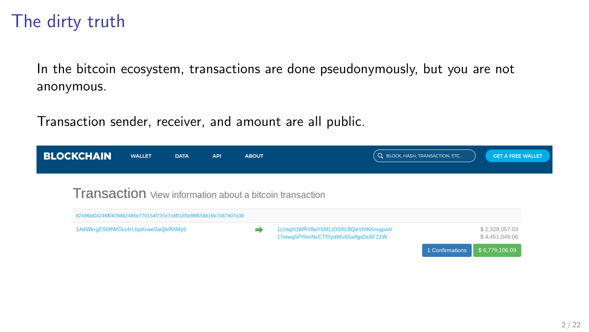### The dirty truth

In the bitcoin ecosystem, transactions are done pseudonymously, but you are not anonymous.

Transaction sender, receiver, and amount are all public.

| <b>BLOCKCHAIN</b>                                                | <b>WALLET</b> | <b>DATA</b> | <b>API</b> | <b>ABOUT</b> |                                                                          | Q BLOCK, HASH, TRANSACTION, ETC | <b>GET A FREE WALLET</b>         |
|------------------------------------------------------------------|---------------|-------------|------------|--------------|--------------------------------------------------------------------------|---------------------------------|----------------------------------|
|                                                                  |               |             |            |              | Transaction View information about a bitcoin transaction                 |                                 |                                  |
| 6249fdd04246f0409882486e770154f737e7cdf0185b98f658816b7487907e38 |               |             |            |              |                                                                          |                                 |                                  |
| 1A4WkrgES6tfWCkx4rLbpKrweGeOkRXMv6                               |               |             |            |              | 1LhtqhUWRY8eY6MLtDSXLBQeVhfKKmqpwV<br>17wwq5PYiimNxCTfSydWu55aXjpDsXF21W |                                 | \$2,328,057.03<br>\$4,451,049.06 |
|                                                                  |               |             |            |              |                                                                          | 1 Confirmations                 | \$6,779,106.09                   |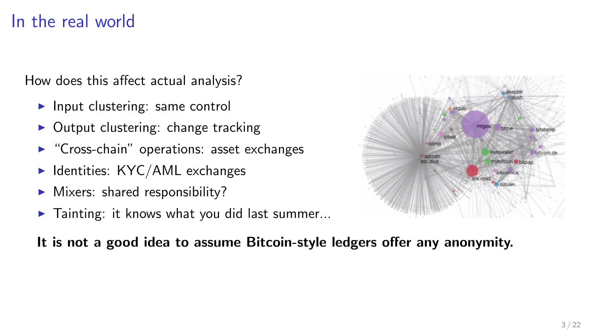### In the real world

How does this affect actual analysis?

- $\blacktriangleright$  Input clustering: same control
- $\triangleright$  Output clustering: change tracking
- $\triangleright$  "Cross-chain" operations: asset exchanges
- $\blacktriangleright$  Identities: KYC/AML exchanges
- $\blacktriangleright$  Mixers: shared responsibility?
- $\blacktriangleright$  Tainting: it knows what you did last summer...



#### It is not a good idea to assume Bitcoin-style ledgers offer any anonymity.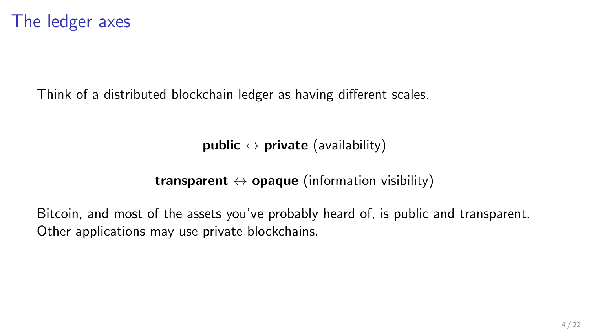Think of a distributed blockchain ledger as having different scales.

public  $\leftrightarrow$  private (availability)

transparent  $\leftrightarrow$  opaque (information visibility)

Bitcoin, and most of the assets you've probably heard of, is public and transparent. Other applications may use private blockchains.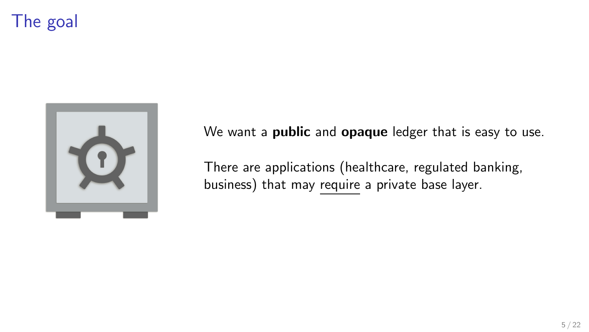# The goal



We want a **public** and **opaque** ledger that is easy to use.

There are applications (healthcare, regulated banking, business) that may require a private base layer.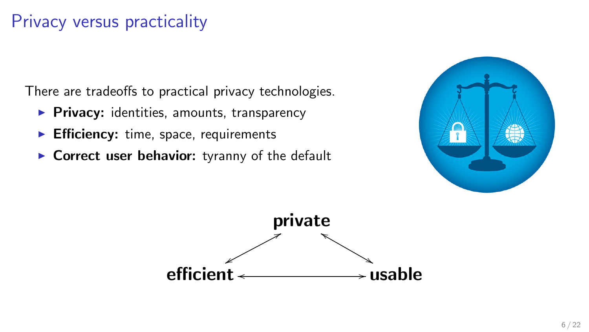### Privacy versus practicality

There are tradeoffs to practical privacy technologies.

- $\triangleright$  Privacy: identities, amounts, transparency
- $\blacktriangleright$  Efficiency: time, space, requirements
- $\triangleright$  Correct user behavior: tyranny of the default



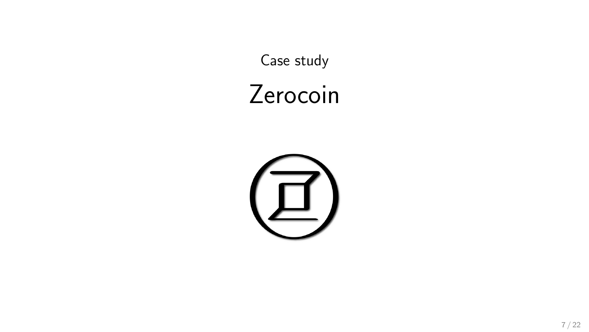Case study

# Zerocoin

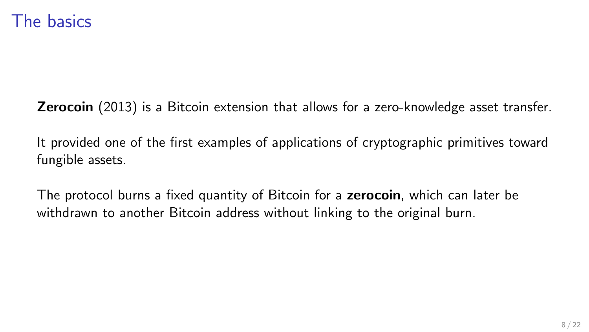**Zerocoin** (2013) is a Bitcoin extension that allows for a zero-knowledge asset transfer.

It provided one of the first examples of applications of cryptographic primitives toward fungible assets.

The protocol burns a fixed quantity of Bitcoin for a zerocoin, which can later be withdrawn to another Bitcoin address without linking to the original burn.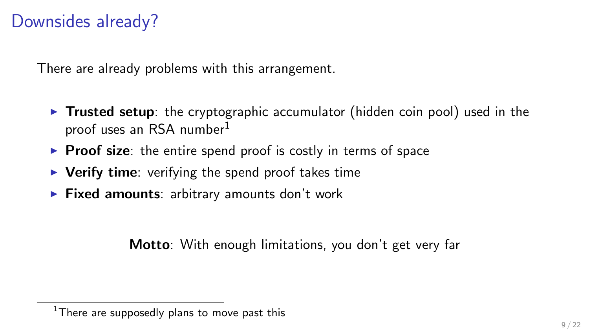### Downsides already?

There are already problems with this arrangement.

- $\triangleright$  Trusted setup: the cryptographic accumulator (hidden coin pool) used in the proof uses an RSA number<sup>1</sup>
- $\triangleright$  Proof size: the entire spend proof is costly in terms of space
- $\triangleright$  Verify time: verifying the spend proof takes time
- $\triangleright$  Fixed amounts: arbitrary amounts don't work

Motto: With enough limitations, you don't get very far

 $1$ There are supposedly plans to move past this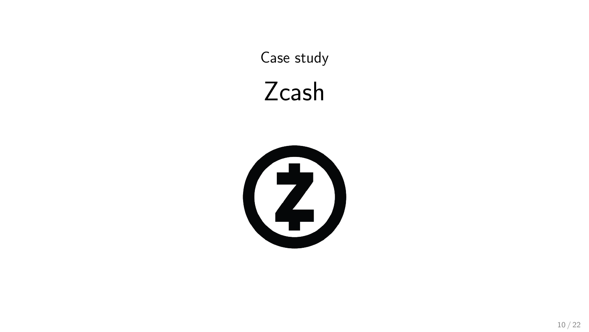Case study

# Zcash

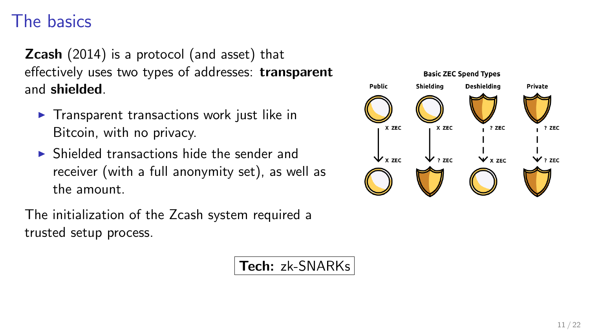### The basics

**Zcash** (2014) is a protocol (and asset) that effectively uses two types of addresses: transparent and shielded.

- $\blacktriangleright$  Transparent transactions work just like in Bitcoin, with no privacy.
- $\triangleright$  Shielded transactions hide the sender and receiver (with a full anonymity set), as well as the amount.

The initialization of the Zcash system required a trusted setup process.

Tech: zk-SNARKs

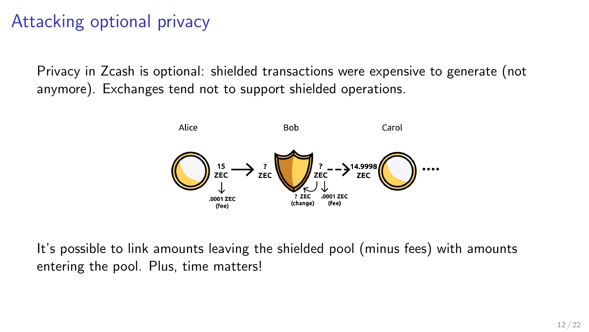## Attacking optional privacy

Privacy in Zcash is optional: shielded transactions were expensive to generate (not anymore). Exchanges tend not to support shielded operations.



It's possible to link amounts leaving the shielded pool (minus fees) with amounts entering the pool. Plus, time matters!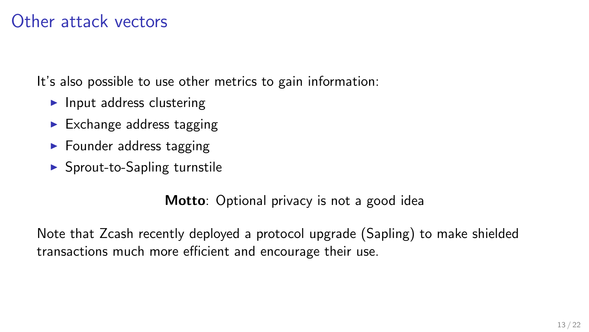#### Other attack vectors

It's also possible to use other metrics to gain information:

- $\blacktriangleright$  Input address clustering
- $\blacktriangleright$  Exchange address tagging
- $\blacktriangleright$  Founder address tagging
- $\blacktriangleright$  Sprout-to-Sapling turnstile

Motto: Optional privacy is not a good idea

Note that Zcash recently deployed a protocol upgrade (Sapling) to make shielded transactions much more efficient and encourage their use.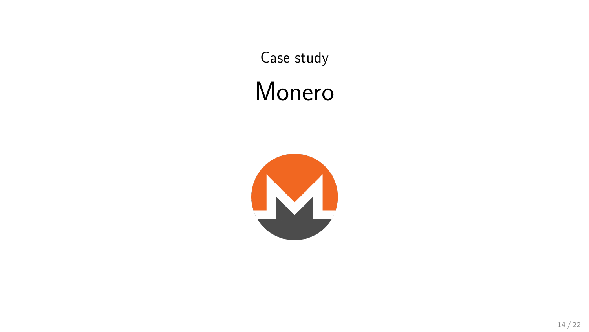Case study Monero

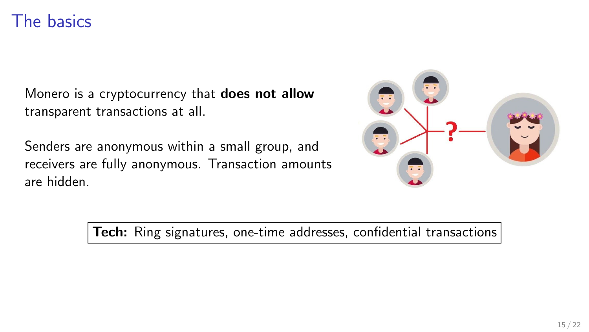#### The basics

Monero is a cryptocurrency that does not allow transparent transactions at all.

Senders are anonymous within a small group, and receivers are fully anonymous. Transaction amounts are hidden.



Tech: Ring signatures, one-time addresses, confidential transactions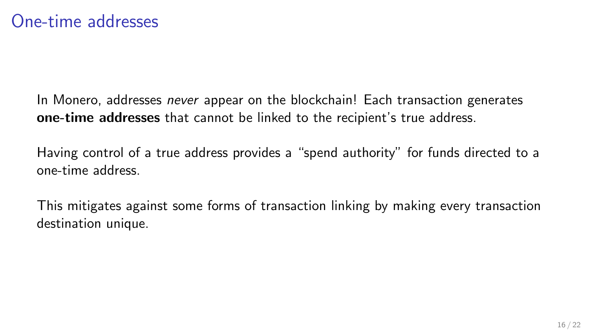In Monero, addresses never appear on the blockchain! Each transaction generates one-time addresses that cannot be linked to the recipient's true address.

Having control of a true address provides a "spend authority" for funds directed to a one-time address.

This mitigates against some forms of transaction linking by making every transaction destination unique.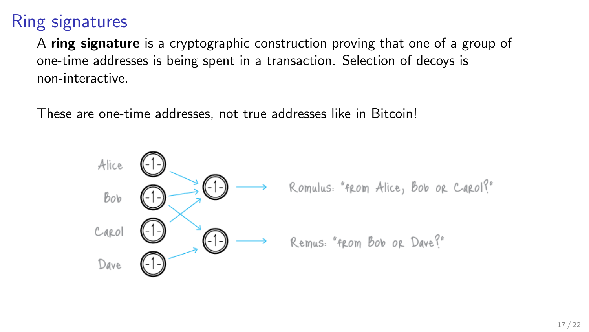### Ring signatures

A ring signature is a cryptographic construction proving that one of a group of one-time addresses is being spent in a transaction. Selection of decoys is non-interactive.

These are one-time addresses, not true addresses like in Bitcoin!

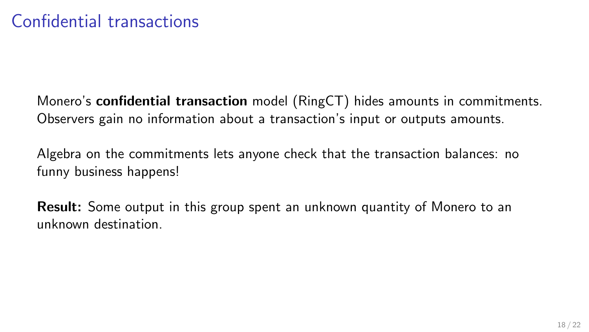Monero's confidential transaction model (RingCT) hides amounts in commitments. Observers gain no information about a transaction's input or outputs amounts.

Algebra on the commitments lets anyone check that the transaction balances: no funny business happens!

Result: Some output in this group spent an unknown quantity of Monero to an unknown destination.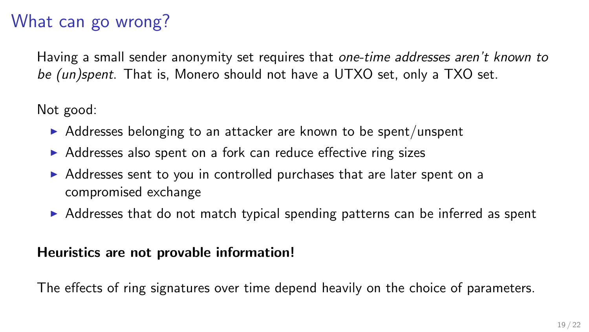# What can go wrong?

Having a small sender anonymity set requires that one-time addresses aren't known to be (un)spent. That is, Monero should not have a UTXO set, only a TXO set.

Not good:

- $\triangleright$  Addresses belonging to an attacker are known to be spent/unspent
- ▶ Addresses also spent on a fork can reduce effective ring sizes
- $\triangleright$  Addresses sent to you in controlled purchases that are later spent on a compromised exchange
- $\triangleright$  Addresses that do not match typical spending patterns can be inferred as spent

#### Heuristics are not provable information!

The effects of ring signatures over time depend heavily on the choice of parameters.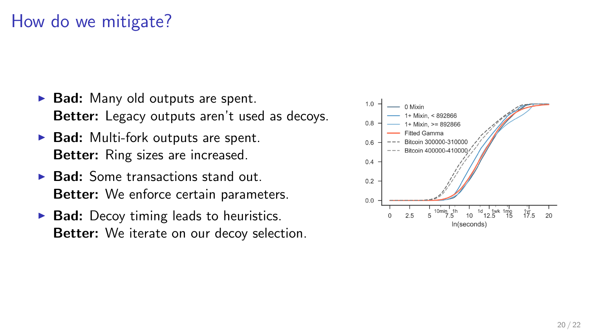## How do we mitigate?

- $\triangleright$  Bad: Many old outputs are spent. Better: Legacy outputs aren't used as decoys.
- $\triangleright$  Bad: Multi-fork outputs are spent. Better: Ring sizes are increased.
- $\triangleright$  Bad: Some transactions stand out. Better: We enforce certain parameters.
- $\triangleright$  Bad: Decoy timing leads to heuristics. Better: We iterate on our decoy selection.

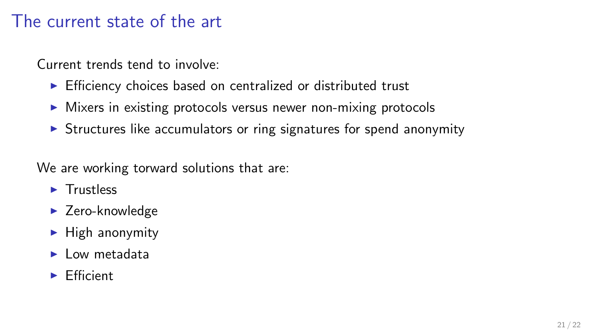#### The current state of the art

Current trends tend to involve:

- $\triangleright$  Efficiency choices based on centralized or distributed trust
- $\triangleright$  Mixers in existing protocols versus newer non-mixing protocols
- $\triangleright$  Structures like accumulators or ring signatures for spend anonymity

We are working torward solutions that are:

- $\blacktriangleright$  Trustless
- $\blacktriangleright$  Zero-knowledge
- $\blacktriangleright$  High anonymity
- $\blacktriangleright$  Low metadata
- $\blacktriangleright$  Efficient